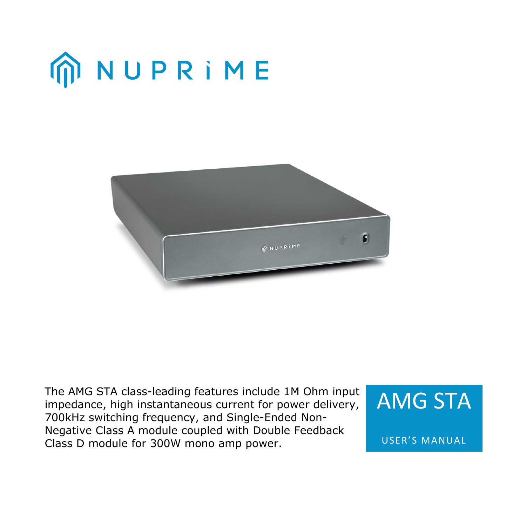



The AMG STA class-leading features include 1M Ohm input impedance, high instantaneous current for power delivery, 700kHz switching frequency, and Single-Ended Non-Negative Class A module coupled with Double Feedback Class D module for 300W mono amp power.



USER'S MANUAL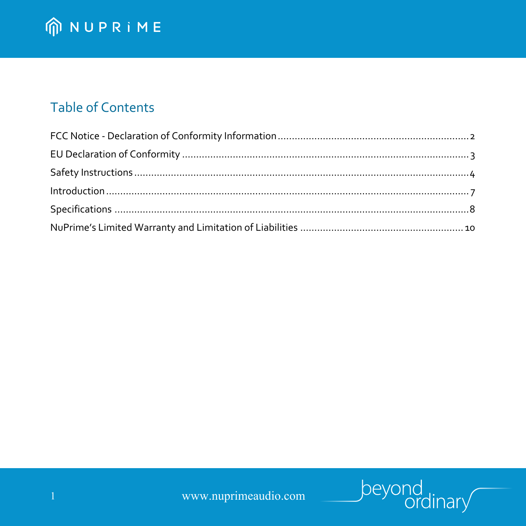## **Table of Contents**

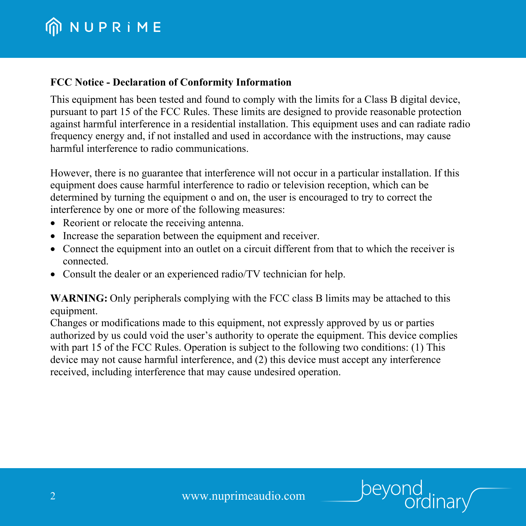#### **FCC Notice - Declaration of Conformity Information**

This equipment has been tested and found to comply with the limits for a Class B digital device, pursuant to part 15 of the FCC Rules. These limits are designed to provide reasonable protection against harmful interference in a residential installation. This equipment uses and can radiate radio frequency energy and, if not installed and used in accordance with the instructions, may cause harmful interference to radio communications.

However, there is no guarantee that interference will not occur in a particular installation. If this equipment does cause harmful interference to radio or television reception, which can be determined by turning the equipment o and on, the user is encouraged to try to correct the interference by one or more of the following measures:

- Reorient or relocate the receiving antenna.
- Increase the separation between the equipment and receiver.
- Connect the equipment into an outlet on a circuit different from that to which the receiver is connected.
- Consult the dealer or an experienced radio/TV technician for help.

**WARNING:** Only peripherals complying with the FCC class B limits may be attached to this equipment.

Changes or modifications made to this equipment, not expressly approved by us or parties authorized by us could void the user's authority to operate the equipment. This device complies with part 15 of the FCC Rules. Operation is subject to the following two conditions: (1) This device may not cause harmful interference, and (2) this device must accept any interference received, including interference that may cause undesired operation.

þeyor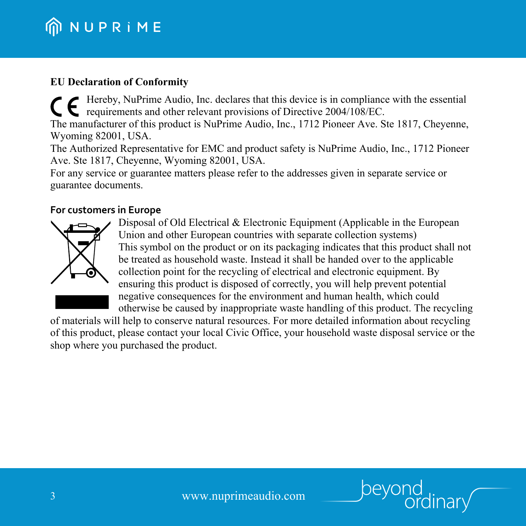#### **EU Declaration of Conformity**

Hereby, NuPrime Audio, Inc. declares that this device is in compliance with the essential requirements and other relevant provisions of Directive 2004/108/EC. The manufacturer of this product is NuPrime Audio, Inc., 1712 Pioneer Ave. Ste 1817, Cheyenne,

Wyoming 82001, USA.

The Authorized Representative for EMC and product safety is NuPrime Audio, Inc., 1712 Pioneer Ave. Ste 1817, Cheyenne, Wyoming 82001, USA.

For any service or guarantee matters please refer to the addresses given in separate service or guarantee documents.

#### **For customers in Europe**



Disposal of Old Electrical & Electronic Equipment (Applicable in the European Union and other European countries with separate collection systems) This symbol on the product or on its packaging indicates that this product shall not be treated as household waste. Instead it shall be handed over to the applicable collection point for the recycling of electrical and electronic equipment. By ensuring this product is disposed of correctly, you will help prevent potential negative consequences for the environment and human health, which could otherwise be caused by inappropriate waste handling of this product. The recycling

of materials will help to conserve natural resources. For more detailed information about recycling of this product, please contact your local Civic Office, your household waste disposal service or the shop where you purchased the product.

peyor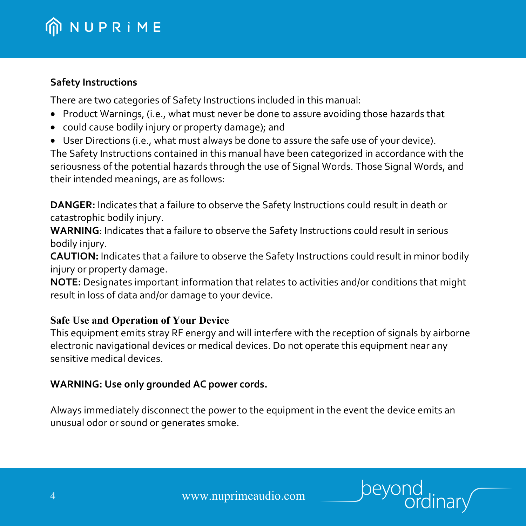#### **Safety Instructions**

There are two categories of Safety Instructions included in this manual:

- Product Warnings, (i.e., what must never be done to assure avoiding those hazards that
- could cause bodily injury or property damage); and
- User Directions (i.e., what must always be done to assure the safe use of your device).

The Safety Instructions contained in this manual have been categorized in accordance with the seriousness of the potential hazards through the use of Signal Words. Those Signal Words, and their intended meanings, are as follows:

**DANGER:** Indicates that a failure to observe the Safety Instructions could result in death or catastrophic bodily injury.

**WARNING**: Indicates that a failure to observe the Safety Instructions could result in serious bodily injury.

**CAUTION:** Indicates that a failure to observe the Safety Instructions could result in minor bodily injury or property damage.

**NOTE:** Designates important information that relates to activities and/or conditions that might result in loss of data and/or damage to your device.

## **Safe Use and Operation of Your Device**

This equipment emits stray RF energy and will interfere with the reception of signals by airborne electronic navigational devices or medical devices. Do not operate this equipment near any sensitive medical devices.

## **WARNING: Use only grounded AC power cords.**

Always immediately disconnect the power to the equipment in the event the device emits an unusual odor or sound or generates smoke.

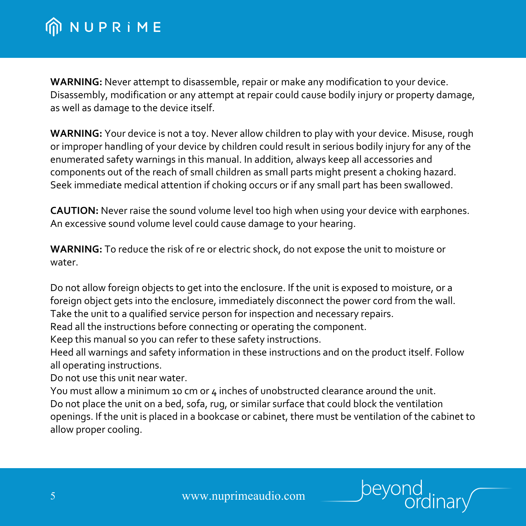**WARNING:** Never attempt to disassemble, repair or make any modification to your device. Disassembly, modification or any attempt at repair could cause bodily injury or property damage, as well as damage to the device itself.

**WARNING:** Your device is not a toy. Never allow children to play with your device. Misuse, rough or improper handling of your device by children could result in serious bodily injury for any of the enumerated safety warnings in this manual. In addition, always keep all accessories and components out of the reach of small children as small parts might present a choking hazard. Seek immediate medical attention if choking occurs or if any small part has been swallowed.

**CAUTION:** Never raise the sound volume level too high when using your device with earphones. An excessive sound volume level could cause damage to your hearing.

**WARNING:** To reduce the risk of re or electric shock, do not expose the unit to moisture or water.

Do not allow foreign objects to get into the enclosure. If the unit is exposed to moisture, or a foreign object gets into the enclosure, immediately disconnect the power cord from the wall. Take the unit to a qualified service person for inspection and necessary repairs.

Read all the instructions before connecting or operating the component.

Keep this manual so you can refer to these safety instructions.

Heed all warnings and safety information in these instructions and on the product itself. Follow all operating instructions.

Do not use this unit near water.

You must allow a minimum 10 cm or 4 inches of unobstructed clearance around the unit. Do not place the unit on a bed, sofa, rug, or similar surface that could block the ventilation openings. If the unit is placed in a bookcase or cabinet, there must be ventilation of the cabinet to allow proper cooling.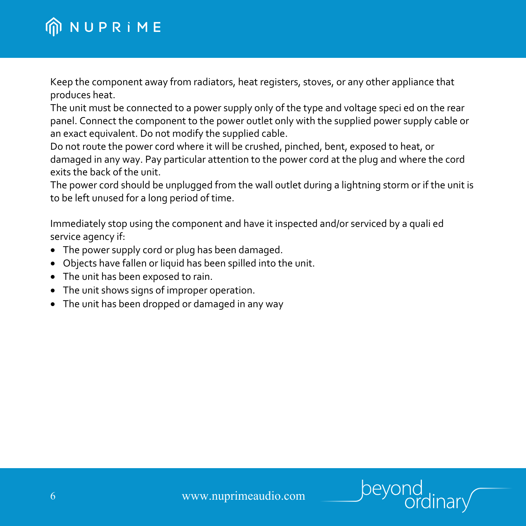Keep the component away from radiators, heat registers, stoves, or any other appliance that produces heat.

The unit must be connected to a power supply only of the type and voltage speci ed on the rear panel. Connect the component to the power outlet only with the supplied power supply cable or an exact equivalent. Do not modify the supplied cable.

Do not route the power cord where it will be crushed, pinched, bent, exposed to heat, or damaged in any way. Pay particular attention to the power cord at the plug and where the cord exits the back of the unit.

The power cord should be unplugged from the wall outlet during a lightning storm or if the unit is to be left unused for a long period of time.

Immediately stop using the component and have it inspected and/or serviced by a quali ed service agency if:

- The power supply cord or plug has been damaged.
- Objects have fallen or liquid has been spilled into the unit.
- The unit has been exposed to rain.
- The unit shows signs of improper operation.
- The unit has been dropped or damaged in any way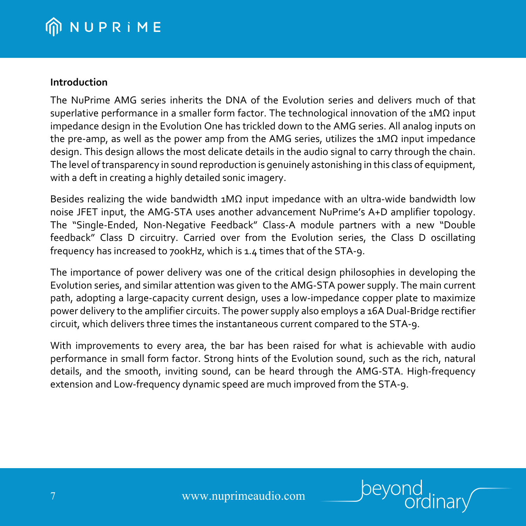#### **Introduction**

The NuPrime AMG series inherits the DNA of the Evolution series and delivers much of that superlative performance in a smaller form factor. The technological innovation of the 1MΩ input impedance design in the Evolution One has trickled down to the AMG series. All analog inputs on the pre-amp, as well as the power amp from the AMG series, utilizes the  $1M\Omega$  input impedance design. This design allows the most delicate details in the audio signal to carry through the chain. The level of transparency in sound reproduction is genuinely astonishing in this class of equipment, with a deft in creating a highly detailed sonic imagery.

Besides realizing the wide bandwidth  $1M\Omega$  input impedance with an ultra-wide bandwidth low noise JFET input, the AMG-STA uses another advancement NuPrime's A+D amplifier topology. The "Single-Ended, Non-Negative Feedback" Class-A module partners with a new "Double feedback" Class D circuitry. Carried over from the Evolution series, the Class D oscillating frequency has increased to 700kHz, which is 1.4 times that of the STA-9.

The importance of power delivery was one of the critical design philosophies in developing the Evolution series, and similar attention was given to the AMG-STA power supply. The main current path, adopting a large-capacity current design, uses a low-impedance copper plate to maximize power delivery to the amplifier circuits. The power supply also employs a 16A Dual-Bridge rectifier circuit, which delivers three times the instantaneous current compared to the STA-9.

With improvements to every area, the bar has been raised for what is achievable with audio performance in small form factor. Strong hints of the Evolution sound, such as the rich, natural details, and the smooth, inviting sound, can be heard through the AMG-STA. High-frequency extension and Low-frequency dynamic speed are much improved from the STA-9.

7 www.nuprimeaudio.com

peyor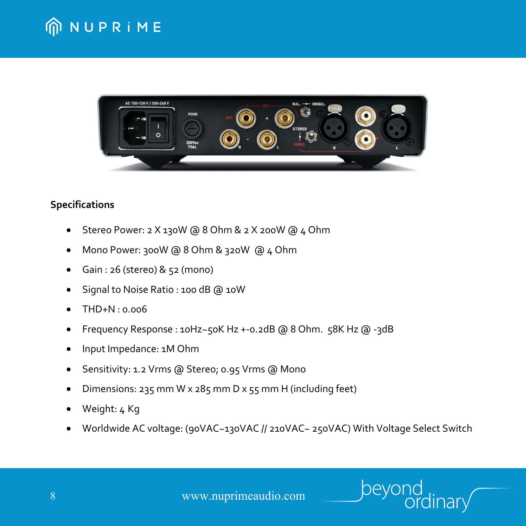



## **Specifications**

- Stereo Power: 2 X 130W @ 8 Ohm & 2 X 200W @ 4 Ohm
- Mono Power: 300W @ 8 Ohm & 320W @ 4 Ohm
- Gain : 26 (stereo) & 52 (mono)
- Signal to Noise Ratio : 100 dB @ 10W
- THD+N : 0.006
- Frequency Response : 10Hz~50K Hz +-0.2dB @ 8 Ohm. 58K Hz @ -3dB
- Input Impedance: 1M Ohm
- Sensitivity: 1.2 Vrms @ Stereo; 0.95 Vrms @ Mono
- Dimensions: 235 mm W x 285 mm D x 55 mm H (including feet)
- Weight: 4 Kg
- Worldwide AC voltage: (90VAC~130VAC // 210VAC~ 250VAC) With Voltage Select Switch

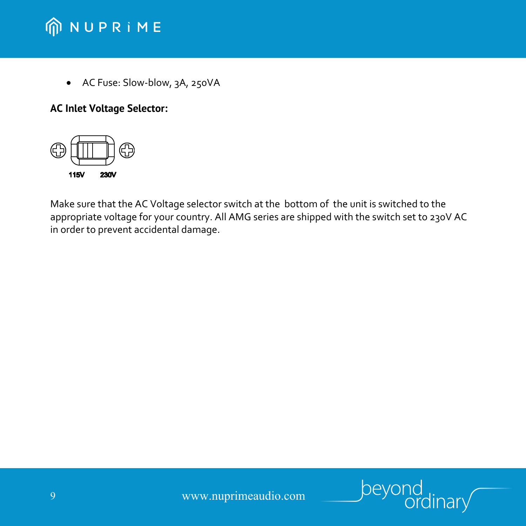• AC Fuse: Slow-blow, 3A, 250VA

## **AC Inlet Voltage Selector:**



Make sure that the AC Voltage selector switch at the bottom of the unit is switched to the appropriate voltage for your country. All AMG series are shipped with the switch set to 230V AC in order to prevent accidental damage.

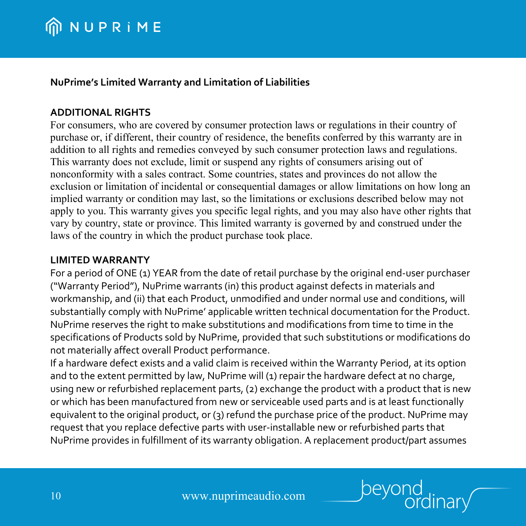## **NuPrime's Limited Warranty and Limitation of Liabilities**

## **ADDITIONAL RIGHTS**

For consumers, who are covered by consumer protection laws or regulations in their country of purchase or, if different, their country of residence, the benefits conferred by this warranty are in addition to all rights and remedies conveyed by such consumer protection laws and regulations. This warranty does not exclude, limit or suspend any rights of consumers arising out of nonconformity with a sales contract. Some countries, states and provinces do not allow the exclusion or limitation of incidental or consequential damages or allow limitations on how long an implied warranty or condition may last, so the limitations or exclusions described below may not apply to you. This warranty gives you specific legal rights, and you may also have other rights that vary by country, state or province. This limited warranty is governed by and construed under the laws of the country in which the product purchase took place.

#### **LIMITED WARRANTY**

For a period of ONE (1) YEAR from the date of retail purchase by the original end-user purchaser ("Warranty Period"), NuPrime warrants (in) this product against defects in materials and workmanship, and (ii) that each Product, unmodified and under normal use and conditions, will substantially comply with NuPrime' applicable written technical documentation for the Product. NuPrime reserves the right to make substitutions and modifications from time to time in the specifications of Products sold by NuPrime, provided that such substitutions or modifications do not materially affect overall Product performance.

If a hardware defect exists and a valid claim is received within the Warranty Period, at its option and to the extent permitted by law, NuPrime will (1) repair the hardware defect at no charge, using new or refurbished replacement parts, (2) exchange the product with a product that is new or which has been manufactured from new or serviceable used parts and is at least functionally equivalent to the original product, or (3) refund the purchase price of the product. NuPrime may request that you replace defective parts with user-installable new or refurbished parts that NuPrime provides in fulfillment of its warranty obligation. A replacement product/part assumes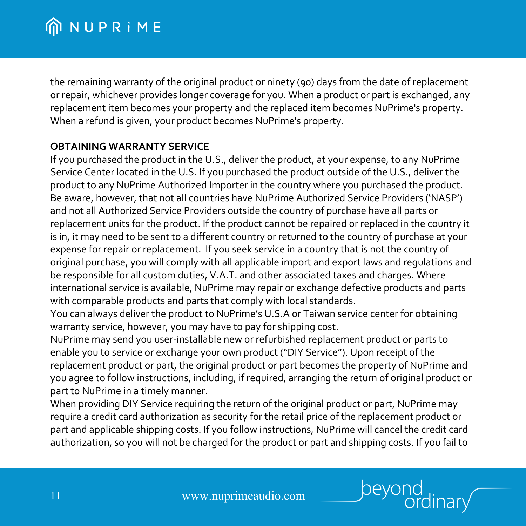the remaining warranty of the original product or ninety (90) days from the date of replacement or repair, whichever provides longer coverage for you. When a product or part is exchanged, any replacement item becomes your property and the replaced item becomes NuPrime's property. When a refund is given, your product becomes NuPrime's property.

#### **OBTAINING WARRANTY SERVICE**

If you purchased the product in the U.S., deliver the product, at your expense, to any NuPrime Service Center located in the U.S. If you purchased the product outside of the U.S., deliver the product to any NuPrime Authorized Importer in the country where you purchased the product. Be aware, however, that not all countries have NuPrime Authorized Service Providers ('NASP') and not all Authorized Service Providers outside the country of purchase have all parts or replacement units for the product. If the product cannot be repaired or replaced in the country it is in, it may need to be sent to a different country or returned to the country of purchase at your expense for repair or replacement. If you seek service in a country that is not the country of original purchase, you will comply with all applicable import and export laws and regulations and be responsible for all custom duties, V.A.T. and other associated taxes and charges. Where international service is available, NuPrime may repair or exchange defective products and parts with comparable products and parts that comply with local standards.

You can always deliver the product to NuPrime's U.S.A or Taiwan service center for obtaining warranty service, however, you may have to pay for shipping cost.

NuPrime may send you user-installable new or refurbished replacement product or parts to enable you to service or exchange your own product ("DIY Service"). Upon receipt of the replacement product or part, the original product or part becomes the property of NuPrime and you agree to follow instructions, including, if required, arranging the return of original product or part to NuPrime in a timely manner.

When providing DIY Service requiring the return of the original product or part, NuPrime may require a credit card authorization as security for the retail price of the replacement product or part and applicable shipping costs. If you follow instructions, NuPrime will cancel the credit card authorization, so you will not be charged for the product or part and shipping costs. If you fail to

peyor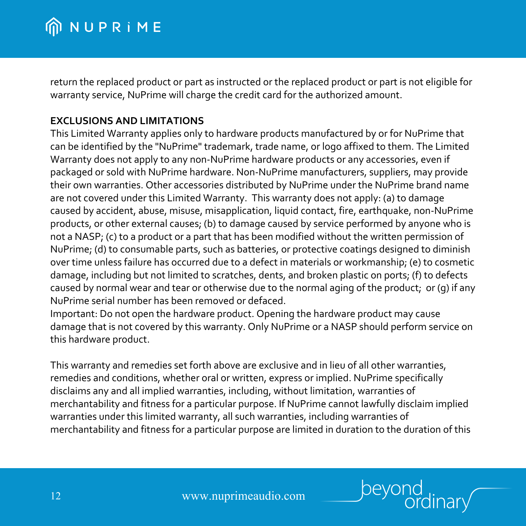return the replaced product or part as instructed or the replaced product or part is not eligible for warranty service, NuPrime will charge the credit card for the authorized amount.

#### **EXCLUSIONS AND LIMITATIONS**

This Limited Warranty applies only to hardware products manufactured by or for NuPrime that can be identified by the "NuPrime" trademark, trade name, or logo affixed to them. The Limited Warranty does not apply to any non-NuPrime hardware products or any accessories, even if packaged or sold with NuPrime hardware. Non-NuPrime manufacturers, suppliers, may provide their own warranties. Other accessories distributed by NuPrime under the NuPrime brand name are not covered under this Limited Warranty. This warranty does not apply: (a) to damage caused by accident, abuse, misuse, misapplication, liquid contact, fire, earthquake, non-NuPrime products, or other external causes; (b) to damage caused by service performed by anyone who is not a NASP; (c) to a product or a part that has been modified without the written permission of NuPrime; (d) to consumable parts, such as batteries, or protective coatings designed to diminish over time unless failure has occurred due to a defect in materials or workmanship; (e) to cosmetic damage, including but not limited to scratches, dents, and broken plastic on ports; (f) to defects caused by normal wear and tear or otherwise due to the normal aging of the product; or (g) if any NuPrime serial number has been removed or defaced.

Important: Do not open the hardware product. Opening the hardware product may cause damage that is not covered by this warranty. Only NuPrime or a NASP should perform service on this hardware product.

This warranty and remedies set forth above are exclusive and in lieu of all other warranties, remedies and conditions, whether oral or written, express or implied. NuPrime specifically disclaims any and all implied warranties, including, without limitation, warranties of merchantability and fitness for a particular purpose. If NuPrime cannot lawfully disclaim implied warranties under this limited warranty, all such warranties, including warranties of merchantability and fitness for a particular purpose are limited in duration to the duration of this

beyor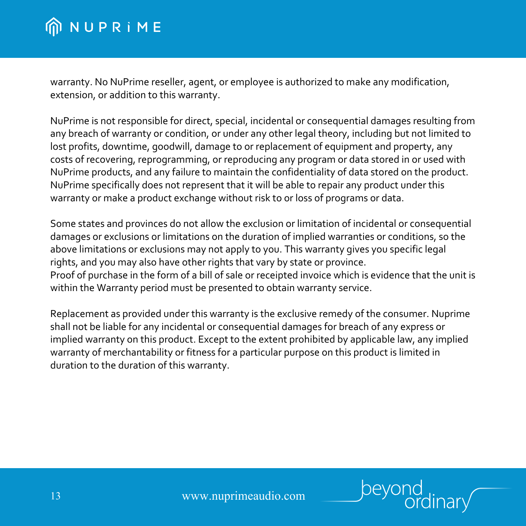warranty. No NuPrime reseller, agent, or employee is authorized to make any modification, extension, or addition to this warranty.

NuPrime is not responsible for direct, special, incidental or consequential damages resulting from any breach of warranty or condition, or under any other legal theory, including but not limited to lost profits, downtime, goodwill, damage to or replacement of equipment and property, any costs of recovering, reprogramming, or reproducing any program or data stored in or used with NuPrime products, and any failure to maintain the confidentiality of data stored on the product. NuPrime specifically does not represent that it will be able to repair any product under this warranty or make a product exchange without risk to or loss of programs or data.

Some states and provinces do not allow the exclusion or limitation of incidental or consequential damages or exclusions or limitations on the duration of implied warranties or conditions, so the above limitations or exclusions may not apply to you. This warranty gives you specific legal rights, and you may also have other rights that vary by state or province. Proof of purchase in the form of a bill of sale or receipted invoice which is evidence that the unit is within the Warranty period must be presented to obtain warranty service.

Replacement as provided under this warranty is the exclusive remedy of the consumer. Nuprime shall not be liable for any incidental or consequential damages for breach of any express or implied warranty on this product. Except to the extent prohibited by applicable law, any implied warranty of merchantability or fitness for a particular purpose on this product is limited in duration to the duration of this warranty.

beyor